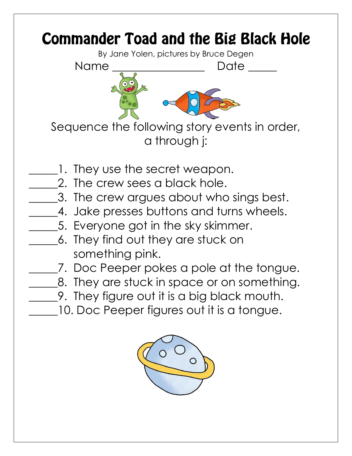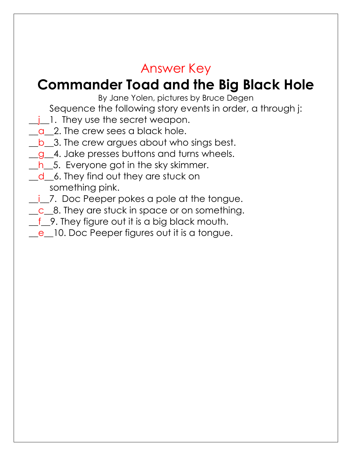## Answer Key

## **Commander Toad and the Big Black Hole**

By Jane Yolen, pictures by Bruce Degen

Sequence the following story events in order, a through j:

- *i* 1. They use the secret weapon.
- q 2. The crew sees a black hole.
- b 3. The crew argues about who sings best.
- g 4. Jake presses buttons and turns wheels.
- $h_{\text{L}}$ 5. Everyone got in the sky skimmer.
- d 6. They find out they are stuck on something pink.
- i 7. Doc Peeper pokes a pole at the tongue.
- $\_\_c\_\_8$ . They are stuck in space or on something.
- f 9. They figure out it is a big black mouth.
- e\_lo. Doc Peeper figures out it is a tongue.